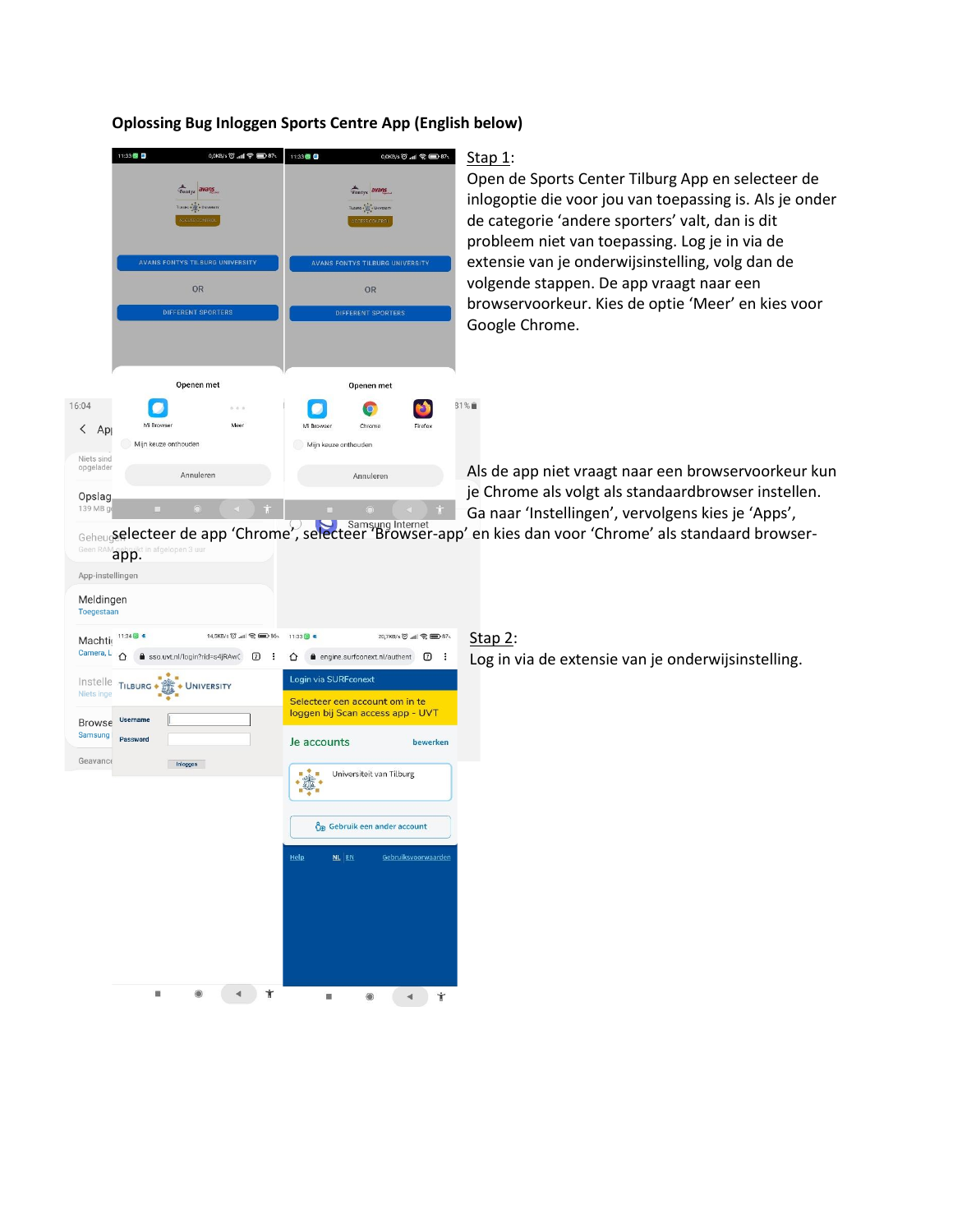#### 11:33 0,0KB/s 〇 .nll 令 ■ 87、 11:33 8 8  $0,0K$ B/s  $\circledcirc$  .nll  $\circledcirc$   $\circledcirc$  871 Fontys avans **Fontys** avans Tussen  $\frac{1}{2}$  , Usi  $-2\pi - \omega$ NO CONTVO TH BHDC HN **AVANS FONTYS TILBURG U** OR **OR IFFERENT SPOR FFERENT SPORTER** Openen met Openen met 16:04 31%■  $\Box$  $\Box$  $\bullet$  $\bullet$ Mi Browse Mi Browser Chrome Mee Firefox  $\langle$  Ap Mijn keuze onthouden Mijn keuze onthouden Niets sind opgelader Annuleren Annuleren Opslag 139 MB

**Oplossing Bug Inloggen Sports Centre App (English below)**

## Stap 1:

Open de Sports Center Tilburg App en selecteer de inlogoptie die voor jou van toepassing is. Als je onder de categorie 'andere sporters' valt, dan is dit probleem niet van toepassing. Log je in via de extensie van je onderwijsinstelling, volg dan de volgende stappen. De app vraagt naar een browservoorkeur. Kies de optie 'Meer' en kies voor Google Chrome.

Als de app niet vraagt naar een browservoorkeur kun je Chrome als volgt als standaardbrowser instellen. Ga naar 'Instellingen', vervolgens kies je 'Apps',

selecteer de app 'Chrome', selecteer 'Browser-app' en kies dan voor 'Chrome' als standaard browserapp.

| Meldingen<br>Toegestaan     |                                       |                                                         |        |                                       |                              |                                                                                                 |
|-----------------------------|---------------------------------------|---------------------------------------------------------|--------|---------------------------------------|------------------------------|-------------------------------------------------------------------------------------------------|
| Machti<br>Camera, L         | 11:34 图 名<br>∩                        | 14,5KB/s 〇 .nll 零 图 86、<br>sso.uvt.nl/login?rid=s4jRAwC | ÷<br>⑦ | $11:33$ $\circledcirc$ $\bullet$<br>⇧ | engine.surfconext.nl/authent | 20,7KB/s 〇 .nll<br><br>57<br><br>57<br><br><br><br><br><br><br><br><br><br><br><br><br><br><br> |
| Niets inge<br><b>Browse</b> | Instelle TILBURG .<br><b>Username</b> | UNIVERSITY                                              |        |                                       | Login via SURFconext         | Selecteer een account om in te<br>loggen bij Scan access app - UVT                              |
| Samsung<br>Geavance         | Password                              | Inloggen                                                |        | Je accounts                           |                              | bewerken<br>Universiteit van Tilburg                                                            |
|                             |                                       |                                                         |        |                                       |                              | Co Gebruik een ander account                                                                    |
|                             |                                       |                                                         |        | Help                                  | NL EN                        | Gebruiksvoorwaarden                                                                             |
|                             |                                       |                                                         |        |                                       |                              |                                                                                                 |
|                             | 58                                    |                                                         | Ť      |                                       |                              | Ť                                                                                               |

App-instellingen

# Stap 2:

Log in via de extensie van je onderwijsinstelling.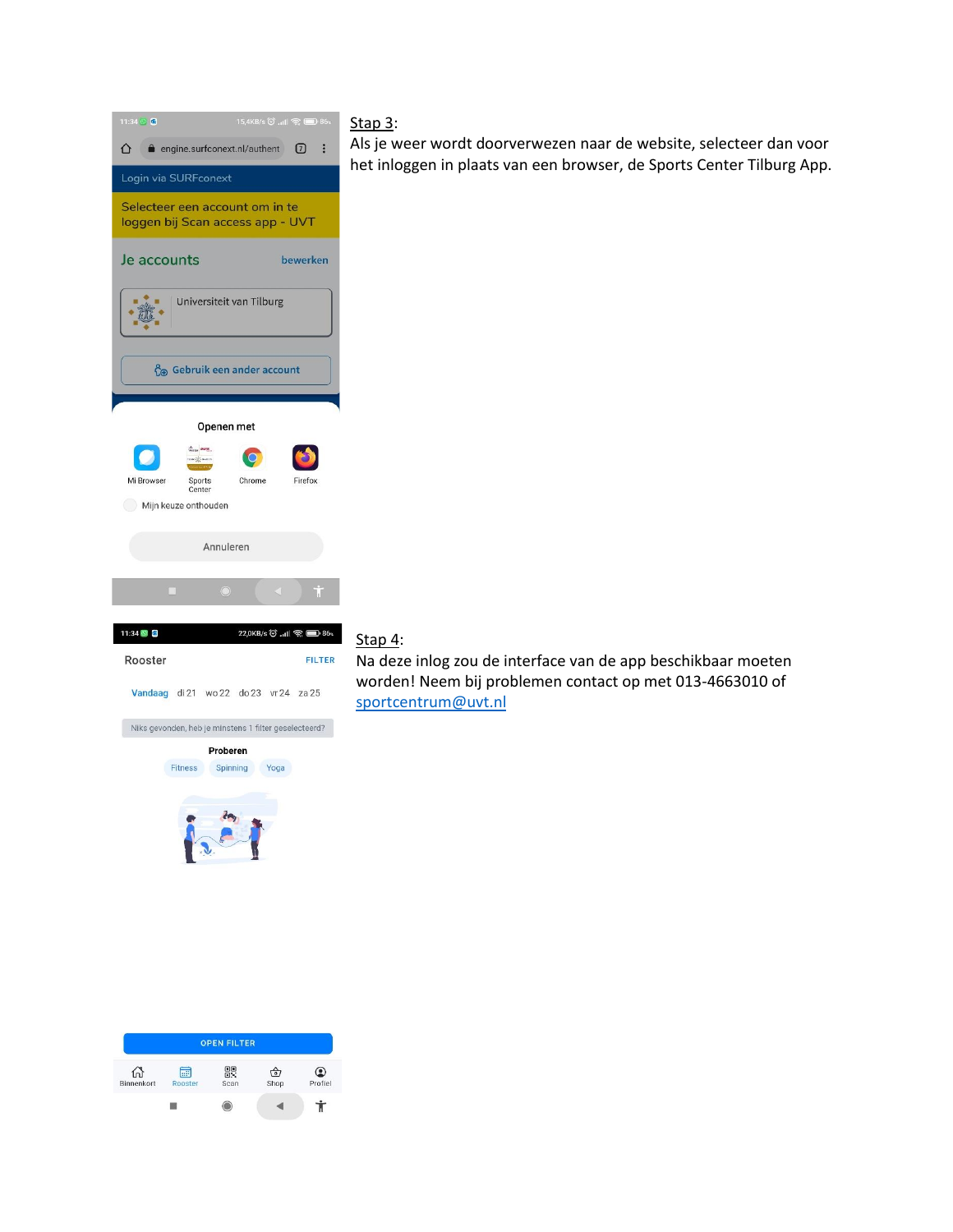

## Stap 3:

Als je weer wordt doorverwezen naar de website, selecteer dan voor het inloggen in plaats van een browser, de Sports Center Tilburg App.

# Stap 4:

Na deze inlog zou de interface van de app beschikbaar moeten worden! Neem bij problemen contact op met 013-4663010 of [sportcentrum@uvt.nl](mailto:sportcentrum@uvt.nl)

|            |         | <b>OPEN FILTER</b> |                      |               |
|------------|---------|--------------------|----------------------|---------------|
|            | 繭       | 髁                  | $\overline{\bullet}$ | 21<br>Profiel |
| Binnenkort | Rooster | Scan               | Shop                 |               |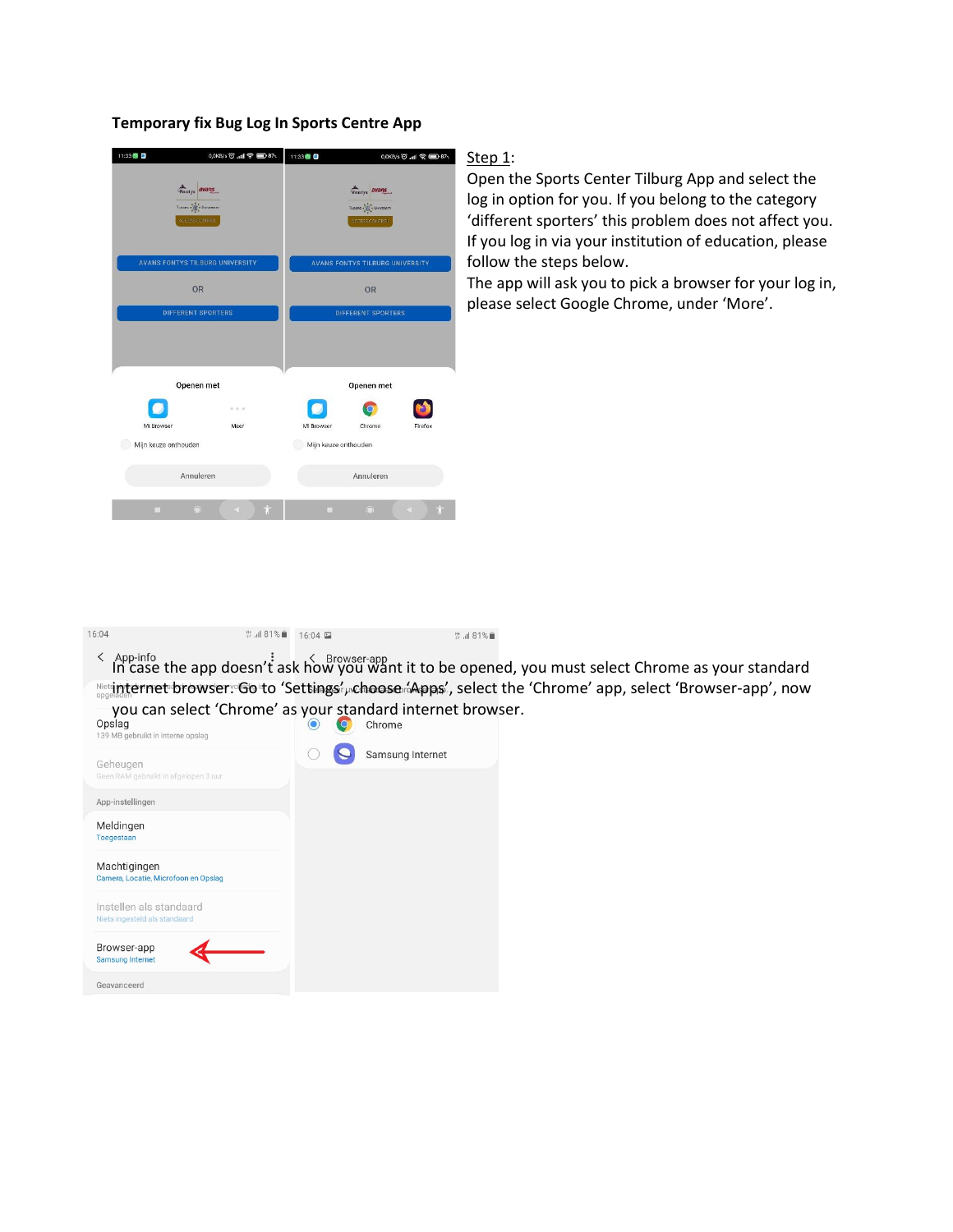### **Temporary fix Bug Log In Sports Centre App**

| 11:33 2              | 0,0KB/s 〇 .nll 令 ■ 87、                                                                 |                                    | 11:33<br>0,0KB/s 〇 .nll 全国37.                                                |         |  |
|----------------------|----------------------------------------------------------------------------------------|------------------------------------|------------------------------------------------------------------------------|---------|--|
|                      | Fontys avans<br>$\mathsf{T}(\mathsf{sum} \bullet \mathsf{Unlimits})$<br>ACCESS CONTROL |                                    | Fontys avans<br>Tubung s $\frac{1}{\sqrt{2}}$ . University<br>ACCESS CONTROL |         |  |
|                      | <b>AVANS FONTYS TILBURG UNIVERSITY</b>                                                 |                                    | <b>AVANS FONTYS TILBURG UNIVERSITY</b>                                       |         |  |
|                      | <b>OR</b>                                                                              |                                    | OR                                                                           |         |  |
|                      | DIFFERENT SPORTERS                                                                     |                                    | <b>DIFFERENT SPORTERS</b>                                                    |         |  |
|                      | Openen met                                                                             |                                    |                                                                              |         |  |
|                      |                                                                                        |                                    | Openen met                                                                   |         |  |
| Mi Browser           | 0.0.8<br>Meer                                                                          |                                    |                                                                              |         |  |
| Mijn keuze onthouden |                                                                                        | Mi Browser<br>Mijn keuze onthouden | Chrome                                                                       | Firefox |  |
|                      |                                                                                        |                                    |                                                                              |         |  |
|                      | Annuleren                                                                              |                                    | Annuleren                                                                    |         |  |
| п                    | Ť<br>$\circledcirc$<br>K.                                                              | n.                                 | $\odot$                                                                      | Ť<br>K  |  |

## Step 1:

Open the Sports Center Tilburg App and select the log in option for you. If you belong to the category 'different sporters' this problem does not affect you. If you log in via your institution of education, please follow the steps below.

The app will ask you to pick a browser for your log in, please select Google Chrome, under 'More'.

| 16:04 | # .il 81%■ 16:04 □                                                                                            | <b># 31%</b> |  |
|-------|---------------------------------------------------------------------------------------------------------------|--------------|--|
|       | App-info<br>In case the app doesn't ask how you want it to be opened, you must select Chrome as your standard |              |  |
|       | Net internet browser: Go to 'Settings', choose (Apps', select the 'Chrome' app, select 'Browser-app', now     |              |  |

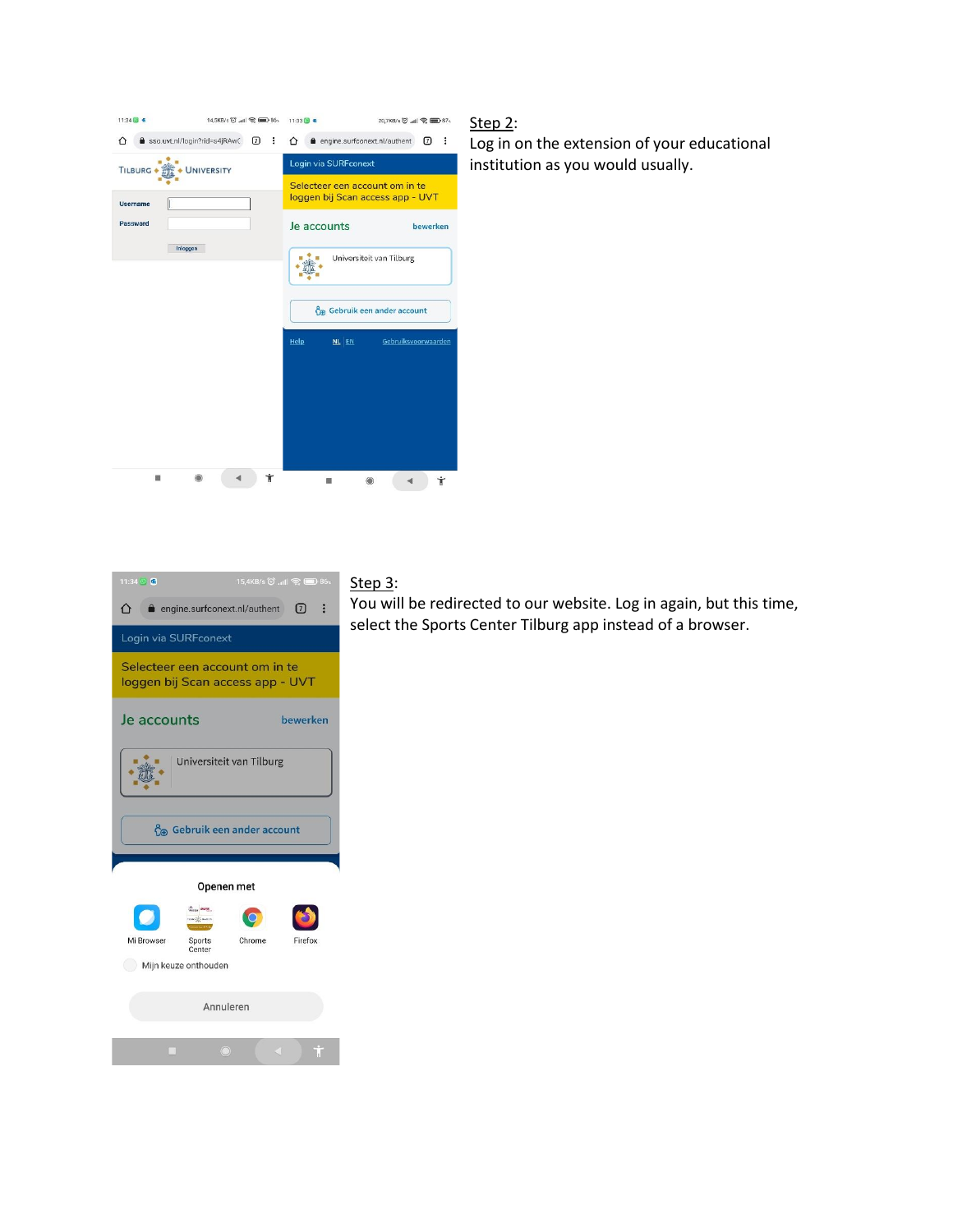| 11:34 回 卷                         | 14,5KB/s 〇 .nll 令 图 86、 | $11:33$ (8) $\approx$<br>20,7KB/s (O' .nll <a> (B) 87&lt;</a>                              |  |  |
|-----------------------------------|-------------------------|--------------------------------------------------------------------------------------------|--|--|
| sso.uvt.nl/login?rid=s4jRAwC<br>∩ | $\sqrt{2}$<br>፡         | engine.surfconext.nl/authent<br>17<br>∩<br>Ŧ                                               |  |  |
| TILBURG .                         | UNIVERSITY              | Login via SURFconext<br>Selecteer een account om in te<br>loggen bij Scan access app - UVT |  |  |
| Username                          |                         |                                                                                            |  |  |
| Password                          |                         | Je accounts<br>bewerken                                                                    |  |  |
| Inloggen                          |                         | Universiteit van Tilburg                                                                   |  |  |
|                                   |                         | Co Gebruik een ander account                                                               |  |  |
|                                   |                         | Gebruiksvoorwaarden<br>Help<br>NL EN                                                       |  |  |
|                                   |                         |                                                                                            |  |  |
|                                   |                         |                                                                                            |  |  |
|                                   | Ť                       | Ť                                                                                          |  |  |

## Step 2:

Log in on the extension of your educational institution as you would usually.



# Step 3:

You will be redirected to our website. Log in again, but this time, select the Sports Center Tilburg app instead of a browser.